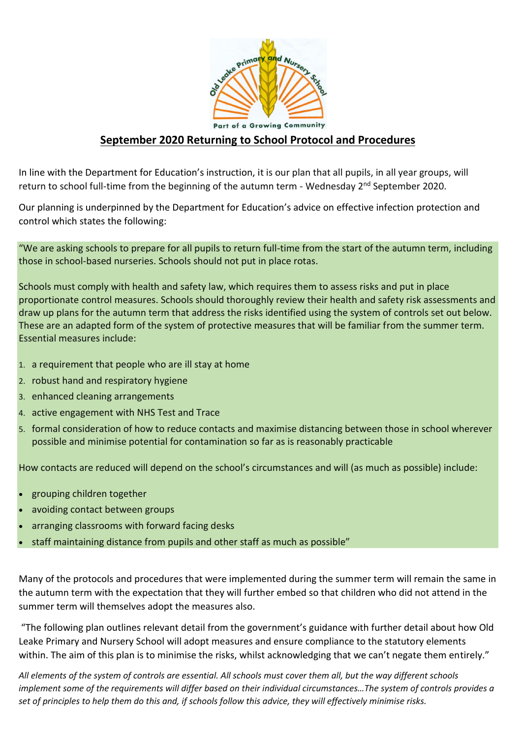

## **September 2020 Returning to School Protocol and Procedures**

In line with the Department for Education's instruction, it is our plan that all pupils, in all year groups, will return to school full-time from the beginning of the autumn term - Wednesday 2<sup>nd</sup> September 2020.

Our planning is underpinned by the Department for Education's advice on effective infection protection and control which states the following:

"We are asking schools to prepare for all pupils to return full-time from the start of the autumn term, including those in school-based nurseries. Schools should not put in place rotas.

Schools must comply with health and safety law, which requires them to assess risks and put in place proportionate control measures. Schools should thoroughly review their health and safety risk assessments and draw up plans for the autumn term that address the risks identified using the system of controls set out below. These are an adapted form of the system of protective measures that will be familiar from the summer term. Essential measures include:

- 1. a requirement that people who are ill stay at home
- 2. robust hand and respiratory hygiene
- 3. enhanced cleaning arrangements
- 4. active engagement with NHS Test and Trace
- 5. formal consideration of how to reduce contacts and maximise distancing between those in school wherever possible and minimise potential for contamination so far as is reasonably practicable

How contacts are reduced will depend on the school's circumstances and will (as much as possible) include:

- grouping children together
- avoiding contact between groups
- arranging classrooms with forward facing desks
- staff maintaining distance from pupils and other staff as much as possible"

Many of the protocols and procedures that were implemented during the summer term will remain the same in the autumn term with the expectation that they will further embed so that children who did not attend in the summer term will themselves adopt the measures also.

"The following plan outlines relevant detail from the government's guidance with further detail about how Old Leake Primary and Nursery School will adopt measures and ensure compliance to the statutory elements within. The aim of this plan is to minimise the risks, whilst acknowledging that we can't negate them entirely."

*All elements of the system of controls are essential. All schools must cover them all, but the way different schools implement some of the requirements will differ based on their individual circumstances…The system of controls provides a set of principles to help them do this and, if schools follow this advice, they will effectively minimise risks.*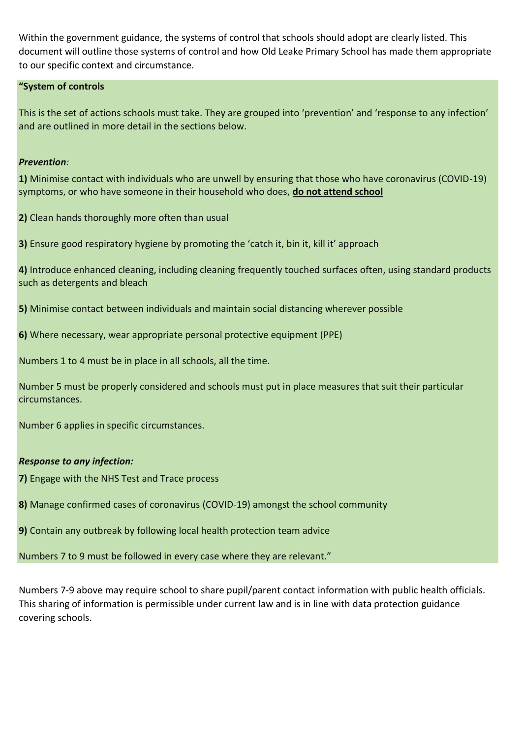Within the government guidance, the systems of control that schools should adopt are clearly listed. This document will outline those systems of control and how Old Leake Primary School has made them appropriate to our specific context and circumstance.

### **"System of controls**

This is the set of actions schools must take. They are grouped into 'prevention' and 'response to any infection' and are outlined in more detail in the sections below.

### *Prevention:*

**1)** Minimise contact with individuals who are unwell by ensuring that those who have coronavirus (COVID-19) symptoms, or who have someone in their household who does, **do not attend school**

**2)** Clean hands thoroughly more often than usual

**3)** Ensure good respiratory hygiene by promoting the 'catch it, bin it, kill it' approach

**4)** Introduce enhanced cleaning, including cleaning frequently touched surfaces often, using standard products such as detergents and bleach

**5)** Minimise contact between individuals and maintain social distancing wherever possible

**6)** Where necessary, wear appropriate personal protective equipment (PPE)

Numbers 1 to 4 must be in place in all schools, all the time.

Number 5 must be properly considered and schools must put in place measures that suit their particular circumstances.

Number 6 applies in specific circumstances.

### *Response to any infection:*

**7)** Engage with the NHS Test and Trace process

**8)** Manage confirmed cases of coronavirus (COVID-19) amongst the school community

**9)** Contain any outbreak by following local health protection team advice

Numbers 7 to 9 must be followed in every case where they are relevant."

Numbers 7-9 above may require school to share pupil/parent contact information with public health officials. This sharing of information is permissible under current law and is in line with data protection guidance covering schools.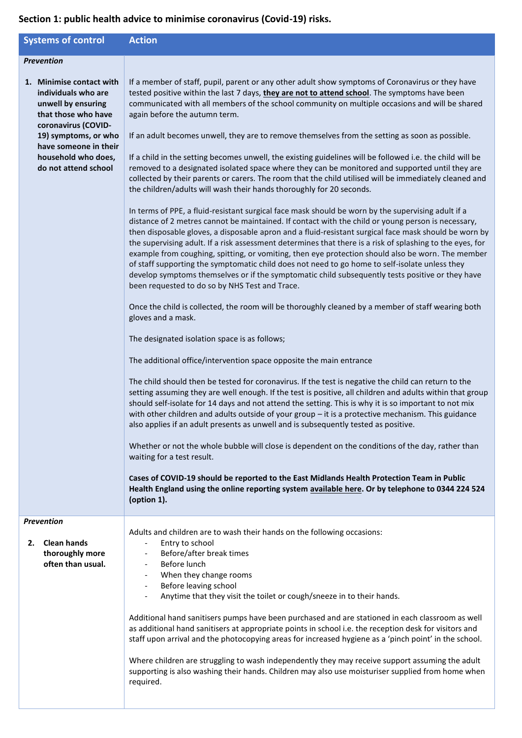# **Section 1: public health advice to minimise coronavirus (Covid-19) risks.**

| <b>Systems of control</b>                                                                                                                                                                                           | <b>Action</b>                                                                                                                                                                                                                                                                                                                                                                                                                                                                                                                                                                                                                                                                                                                                                                                                                                                                                                                                   |
|---------------------------------------------------------------------------------------------------------------------------------------------------------------------------------------------------------------------|-------------------------------------------------------------------------------------------------------------------------------------------------------------------------------------------------------------------------------------------------------------------------------------------------------------------------------------------------------------------------------------------------------------------------------------------------------------------------------------------------------------------------------------------------------------------------------------------------------------------------------------------------------------------------------------------------------------------------------------------------------------------------------------------------------------------------------------------------------------------------------------------------------------------------------------------------|
| <b>Prevention</b>                                                                                                                                                                                                   |                                                                                                                                                                                                                                                                                                                                                                                                                                                                                                                                                                                                                                                                                                                                                                                                                                                                                                                                                 |
| 1. Minimise contact with<br>individuals who are<br>unwell by ensuring<br>that those who have<br>coronavirus (COVID-<br>19) symptoms, or who<br>have someone in their<br>household who does,<br>do not attend school | If a member of staff, pupil, parent or any other adult show symptoms of Coronavirus or they have<br>tested positive within the last 7 days, they are not to attend school. The symptoms have been<br>communicated with all members of the school community on multiple occasions and will be shared<br>again before the autumn term.<br>If an adult becomes unwell, they are to remove themselves from the setting as soon as possible.<br>If a child in the setting becomes unwell, the existing guidelines will be followed i.e. the child will be<br>removed to a designated isolated space where they can be monitored and supported until they are<br>collected by their parents or carers. The room that the child utilised will be immediately cleaned and<br>the children/adults will wash their hands thoroughly for 20 seconds.<br>In terms of PPE, a fluid-resistant surgical face mask should be worn by the supervising adult if a |
|                                                                                                                                                                                                                     | distance of 2 metres cannot be maintained. If contact with the child or young person is necessary,<br>then disposable gloves, a disposable apron and a fluid-resistant surgical face mask should be worn by<br>the supervising adult. If a risk assessment determines that there is a risk of splashing to the eyes, for<br>example from coughing, spitting, or vomiting, then eye protection should also be worn. The member<br>of staff supporting the symptomatic child does not need to go home to self-isolate unless they<br>develop symptoms themselves or if the symptomatic child subsequently tests positive or they have<br>been requested to do so by NHS Test and Trace.                                                                                                                                                                                                                                                           |
|                                                                                                                                                                                                                     | Once the child is collected, the room will be thoroughly cleaned by a member of staff wearing both<br>gloves and a mask.                                                                                                                                                                                                                                                                                                                                                                                                                                                                                                                                                                                                                                                                                                                                                                                                                        |
|                                                                                                                                                                                                                     | The designated isolation space is as follows;                                                                                                                                                                                                                                                                                                                                                                                                                                                                                                                                                                                                                                                                                                                                                                                                                                                                                                   |
|                                                                                                                                                                                                                     | The additional office/intervention space opposite the main entrance                                                                                                                                                                                                                                                                                                                                                                                                                                                                                                                                                                                                                                                                                                                                                                                                                                                                             |
|                                                                                                                                                                                                                     | The child should then be tested for coronavirus. If the test is negative the child can return to the<br>setting assuming they are well enough. If the test is positive, all children and adults within that group<br>should self-isolate for 14 days and not attend the setting. This is why it is so important to not mix<br>with other children and adults outside of your group - it is a protective mechanism. This guidance<br>also applies if an adult presents as unwell and is subsequently tested as positive.                                                                                                                                                                                                                                                                                                                                                                                                                         |
|                                                                                                                                                                                                                     | Whether or not the whole bubble will close is dependent on the conditions of the day, rather than<br>waiting for a test result.                                                                                                                                                                                                                                                                                                                                                                                                                                                                                                                                                                                                                                                                                                                                                                                                                 |
|                                                                                                                                                                                                                     | Cases of COVID-19 should be reported to the East Midlands Health Protection Team in Public<br>Health England using the online reporting system available here. Or by telephone to 0344 224 524<br>(option 1).                                                                                                                                                                                                                                                                                                                                                                                                                                                                                                                                                                                                                                                                                                                                   |
| Prevention                                                                                                                                                                                                          | Adults and children are to wash their hands on the following occasions:                                                                                                                                                                                                                                                                                                                                                                                                                                                                                                                                                                                                                                                                                                                                                                                                                                                                         |
| <b>Clean hands</b><br>2.<br>thoroughly more<br>often than usual.                                                                                                                                                    | Entry to school<br>$\overline{\phantom{a}}$<br>Before/after break times<br>$\overline{\phantom{a}}$<br>Before lunch<br>When they change rooms<br>Before leaving school<br>$\overline{\phantom{a}}$<br>Anytime that they visit the toilet or cough/sneeze in to their hands.<br>$\overline{\phantom{a}}$<br>Additional hand sanitisers pumps have been purchased and are stationed in each classroom as well<br>as additional hand sanitisers at appropriate points in school i.e. the reception desk for visitors and<br>staff upon arrival and the photocopying areas for increased hygiene as a 'pinch point' in the school.<br>Where children are struggling to wash independently they may receive support assuming the adult                                                                                                                                                                                                               |
|                                                                                                                                                                                                                     | supporting is also washing their hands. Children may also use moisturiser supplied from home when<br>required.                                                                                                                                                                                                                                                                                                                                                                                                                                                                                                                                                                                                                                                                                                                                                                                                                                  |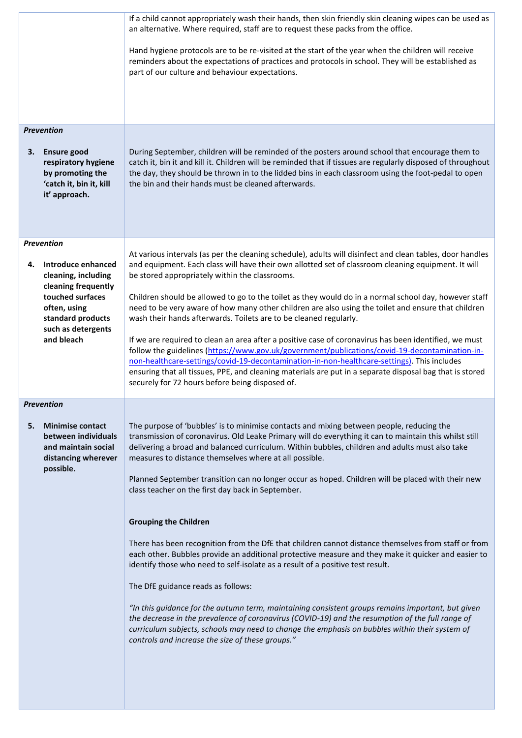| 3. | <b>Prevention</b><br><b>Ensure good</b><br>respiratory hygiene<br>by promoting the<br>'catch it, bin it, kill<br>it' approach.                                | If a child cannot appropriately wash their hands, then skin friendly skin cleaning wipes can be used as<br>an alternative. Where required, staff are to request these packs from the office.<br>Hand hygiene protocols are to be re-visited at the start of the year when the children will receive<br>reminders about the expectations of practices and protocols in school. They will be established as<br>part of our culture and behaviour expectations.<br>During September, children will be reminded of the posters around school that encourage them to<br>catch it, bin it and kill it. Children will be reminded that if tissues are regularly disposed of throughout<br>the day, they should be thrown in to the lidded bins in each classroom using the foot-pedal to open<br>the bin and their hands must be cleaned afterwards. |
|----|---------------------------------------------------------------------------------------------------------------------------------------------------------------|-----------------------------------------------------------------------------------------------------------------------------------------------------------------------------------------------------------------------------------------------------------------------------------------------------------------------------------------------------------------------------------------------------------------------------------------------------------------------------------------------------------------------------------------------------------------------------------------------------------------------------------------------------------------------------------------------------------------------------------------------------------------------------------------------------------------------------------------------|
|    |                                                                                                                                                               |                                                                                                                                                                                                                                                                                                                                                                                                                                                                                                                                                                                                                                                                                                                                                                                                                                               |
| 4. | Prevention<br>Introduce enhanced<br>cleaning, including<br>cleaning frequently<br>touched surfaces<br>often, using<br>standard products<br>such as detergents | At various intervals (as per the cleaning schedule), adults will disinfect and clean tables, door handles<br>and equipment. Each class will have their own allotted set of classroom cleaning equipment. It will<br>be stored appropriately within the classrooms.<br>Children should be allowed to go to the toilet as they would do in a normal school day, however staff<br>need to be very aware of how many other children are also using the toilet and ensure that children<br>wash their hands afterwards. Toilets are to be cleaned regularly.                                                                                                                                                                                                                                                                                       |
|    | and bleach                                                                                                                                                    | If we are required to clean an area after a positive case of coronavirus has been identified, we must<br>follow the guidelines (https://www.gov.uk/government/publications/covid-19-decontamination-in-<br>non-healthcare-settings/covid-19-decontamination-in-non-healthcare-settings). This includes<br>ensuring that all tissues, PPE, and cleaning materials are put in a separate disposal bag that is stored<br>securely for 72 hours before being disposed of.                                                                                                                                                                                                                                                                                                                                                                         |
|    | <b>Prevention</b>                                                                                                                                             |                                                                                                                                                                                                                                                                                                                                                                                                                                                                                                                                                                                                                                                                                                                                                                                                                                               |
| 5. | <b>Minimise contact</b><br>between individuals<br>and maintain social<br>distancing wherever<br>possible.                                                     | The purpose of 'bubbles' is to minimise contacts and mixing between people, reducing the<br>transmission of coronavirus. Old Leake Primary will do everything it can to maintain this whilst still<br>delivering a broad and balanced curriculum. Within bubbles, children and adults must also take<br>measures to distance themselves where at all possible.<br>Planned September transition can no longer occur as hoped. Children will be placed with their new<br>class teacher on the first day back in September.                                                                                                                                                                                                                                                                                                                      |
|    |                                                                                                                                                               | <b>Grouping the Children</b>                                                                                                                                                                                                                                                                                                                                                                                                                                                                                                                                                                                                                                                                                                                                                                                                                  |
|    |                                                                                                                                                               | There has been recognition from the DfE that children cannot distance themselves from staff or from<br>each other. Bubbles provide an additional protective measure and they make it quicker and easier to<br>identify those who need to self-isolate as a result of a positive test result.                                                                                                                                                                                                                                                                                                                                                                                                                                                                                                                                                  |
|    |                                                                                                                                                               | The DfE guidance reads as follows:                                                                                                                                                                                                                                                                                                                                                                                                                                                                                                                                                                                                                                                                                                                                                                                                            |
|    |                                                                                                                                                               | "In this guidance for the autumn term, maintaining consistent groups remains important, but given<br>the decrease in the prevalence of coronavirus (COVID-19) and the resumption of the full range of<br>curriculum subjects, schools may need to change the emphasis on bubbles within their system of<br>controls and increase the size of these groups."                                                                                                                                                                                                                                                                                                                                                                                                                                                                                   |
|    |                                                                                                                                                               |                                                                                                                                                                                                                                                                                                                                                                                                                                                                                                                                                                                                                                                                                                                                                                                                                                               |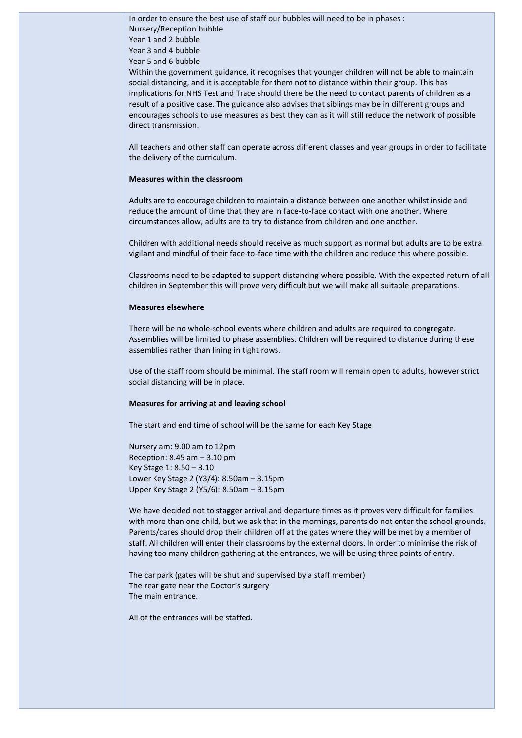In order to ensure the best use of staff our bubbles will need to be in phases : Nursery/Reception bubble Year 1 and 2 bubble Year 3 and 4 bubble Year 5 and 6 bubble Within the government guidance, it recognises that younger children will not be able to maintain

social distancing, and it is acceptable for them not to distance within their group. This has implications for NHS Test and Trace should there be the need to contact parents of children as a result of a positive case. The guidance also advises that siblings may be in different groups and encourages schools to use measures as best they can as it will still reduce the network of possible direct transmission.

All teachers and other staff can operate across different classes and year groups in order to facilitate the delivery of the curriculum.

#### **Measures within the classroom**

Adults are to encourage children to maintain a distance between one another whilst inside and reduce the amount of time that they are in face-to-face contact with one another. Where circumstances allow, adults are to try to distance from children and one another.

Children with additional needs should receive as much support as normal but adults are to be extra vigilant and mindful of their face-to-face time with the children and reduce this where possible.

Classrooms need to be adapted to support distancing where possible. With the expected return of all children in September this will prove very difficult but we will make all suitable preparations.

#### **Measures elsewhere**

There will be no whole-school events where children and adults are required to congregate. Assemblies will be limited to phase assemblies. Children will be required to distance during these assemblies rather than lining in tight rows.

Use of the staff room should be minimal. The staff room will remain open to adults, however strict social distancing will be in place.

#### **Measures for arriving at and leaving school**

The start and end time of school will be the same for each Key Stage

Nursery am: 9.00 am to 12pm Reception: 8.45 am – 3.10 pm Key Stage 1: 8.50 – 3.10 Lower Key Stage 2 (Y3/4): 8.50am – 3.15pm Upper Key Stage 2 (Y5/6): 8.50am – 3.15pm

We have decided not to stagger arrival and departure times as it proves very difficult for families with more than one child, but we ask that in the mornings, parents do not enter the school grounds. Parents/cares should drop their children off at the gates where they will be met by a member of staff. All children will enter their classrooms by the external doors. In order to minimise the risk of having too many children gathering at the entrances, we will be using three points of entry.

The car park (gates will be shut and supervised by a staff member) The rear gate near the Doctor's surgery The main entrance.

All of the entrances will be staffed.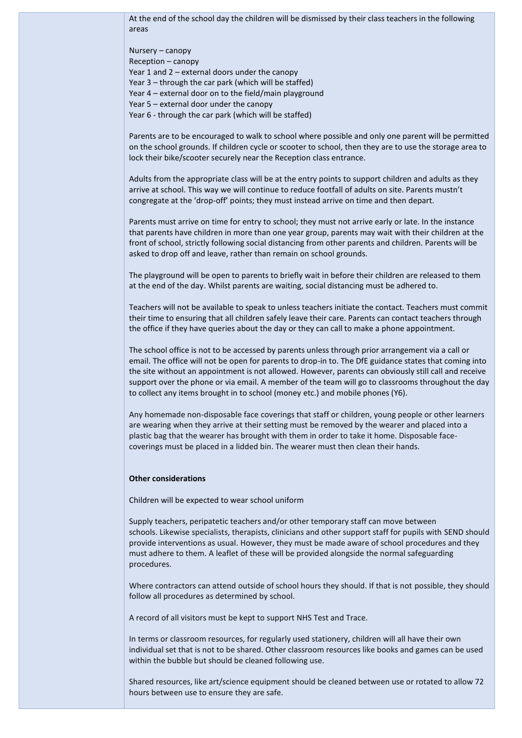At the end of the school day the children will be dismissed by their class teachers in the following areas

Nursery – canopy Reception – canopy Year 1 and 2 – external doors under the canopy Year 3 – through the car park (which will be staffed) Year 4 – external door on to the field/main playground Year 5 – external door under the canopy Year 6 - through the car park (which will be staffed)

Parents are to be encouraged to walk to school where possible and only one parent will be permitted on the school grounds. If children cycle or scooter to school, then they are to use the storage area to lock their bike/scooter securely near the Reception class entrance.

Adults from the appropriate class will be at the entry points to support children and adults as they arrive at school. This way we will continue to reduce footfall of adults on site. Parents mustn't congregate at the 'drop-off' points; they must instead arrive on time and then depart.

Parents must arrive on time for entry to school; they must not arrive early or late. In the instance that parents have children in more than one year group, parents may wait with their children at the front of school, strictly following social distancing from other parents and children. Parents will be asked to drop off and leave, rather than remain on school grounds.

The playground will be open to parents to briefly wait in before their children are released to them at the end of the day. Whilst parents are waiting, social distancing must be adhered to.

Teachers will not be available to speak to unless teachers initiate the contact. Teachers must commit their time to ensuring that all children safely leave their care. Parents can contact teachers through the office if they have queries about the day or they can call to make a phone appointment.

The school office is not to be accessed by parents unless through prior arrangement via a call or email. The office will not be open for parents to drop-in to. The DfE guidance states that coming into the site without an appointment is not allowed. However, parents can obviously still call and receive support over the phone or via email. A member of the team will go to classrooms throughout the day to collect any items brought in to school (money etc.) and mobile phones (Y6).

Any homemade non-disposable face coverings that staff or children, young people or other learners are wearing when they arrive at their setting must be removed by the wearer and placed into a plastic bag that the wearer has brought with them in order to take it home. Disposable facecoverings must be placed in a lidded bin. The wearer must then clean their hands.

#### **Other considerations**

Children will be expected to wear school uniform

Supply teachers, peripatetic teachers and/or other temporary staff can move between schools. Likewise specialists, therapists, clinicians and other support staff for pupils with SEND should provide interventions as usual. However, they must be made aware of school procedures and they must adhere to them. A leaflet of these will be provided alongside the normal safeguarding procedures.

Where contractors can attend outside of school hours they should. If that is not possible, they should follow all procedures as determined by school.

A record of all visitors must be kept to support NHS Test and Trace.

In terms or classroom resources, for regularly used stationery, children will all have their own individual set that is not to be shared. Other classroom resources like books and games can be used within the bubble but should be cleaned following use.

Shared resources, like art/science equipment should be cleaned between use or rotated to allow 72 hours between use to ensure they are safe.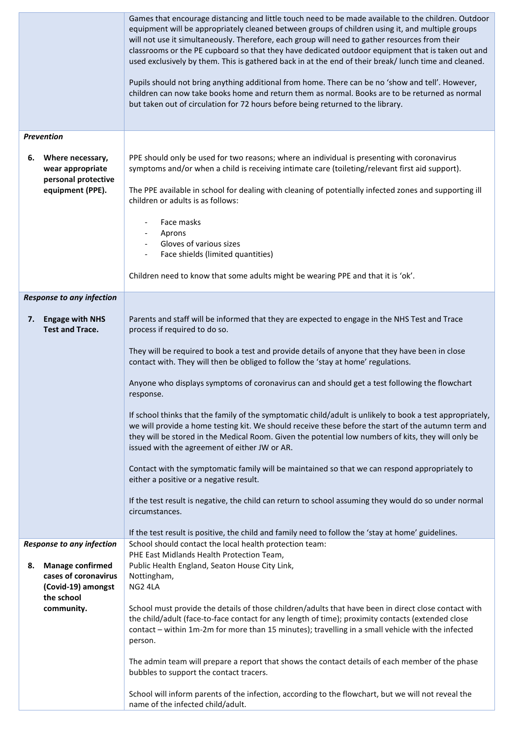|                                                                                                                               | Games that encourage distancing and little touch need to be made available to the children. Outdoor<br>equipment will be appropriately cleaned between groups of children using it, and multiple groups<br>will not use it simultaneously. Therefore, each group will need to gather resources from their<br>classrooms or the PE cupboard so that they have dedicated outdoor equipment that is taken out and<br>used exclusively by them. This is gathered back in at the end of their break/ lunch time and cleaned.<br>Pupils should not bring anything additional from home. There can be no 'show and tell'. However,<br>children can now take books home and return them as normal. Books are to be returned as normal<br>but taken out of circulation for 72 hours before being returned to the library. |
|-------------------------------------------------------------------------------------------------------------------------------|------------------------------------------------------------------------------------------------------------------------------------------------------------------------------------------------------------------------------------------------------------------------------------------------------------------------------------------------------------------------------------------------------------------------------------------------------------------------------------------------------------------------------------------------------------------------------------------------------------------------------------------------------------------------------------------------------------------------------------------------------------------------------------------------------------------|
| Prevention                                                                                                                    |                                                                                                                                                                                                                                                                                                                                                                                                                                                                                                                                                                                                                                                                                                                                                                                                                  |
| Where necessary,<br>6.<br>wear appropriate<br>personal protective<br>equipment (PPE).                                         | PPE should only be used for two reasons; where an individual is presenting with coronavirus<br>symptoms and/or when a child is receiving intimate care (toileting/relevant first aid support).<br>The PPE available in school for dealing with cleaning of potentially infected zones and supporting ill<br>children or adults is as follows:<br>Face masks<br>Aprons<br>Gloves of various sizes<br>Face shields (limited quantities)                                                                                                                                                                                                                                                                                                                                                                            |
|                                                                                                                               | Children need to know that some adults might be wearing PPE and that it is 'ok'.                                                                                                                                                                                                                                                                                                                                                                                                                                                                                                                                                                                                                                                                                                                                 |
| <b>Response to any infection</b>                                                                                              |                                                                                                                                                                                                                                                                                                                                                                                                                                                                                                                                                                                                                                                                                                                                                                                                                  |
| <b>Engage with NHS</b><br>7.<br><b>Test and Trace.</b>                                                                        | Parents and staff will be informed that they are expected to engage in the NHS Test and Trace<br>process if required to do so.                                                                                                                                                                                                                                                                                                                                                                                                                                                                                                                                                                                                                                                                                   |
|                                                                                                                               | They will be required to book a test and provide details of anyone that they have been in close<br>contact with. They will then be obliged to follow the 'stay at home' regulations.<br>Anyone who displays symptoms of coronavirus can and should get a test following the flowchart<br>response.                                                                                                                                                                                                                                                                                                                                                                                                                                                                                                               |
|                                                                                                                               | If school thinks that the family of the symptomatic child/adult is unlikely to book a test appropriately,<br>we will provide a home testing kit. We should receive these before the start of the autumn term and<br>they will be stored in the Medical Room. Given the potential low numbers of kits, they will only be<br>issued with the agreement of either JW or AR.                                                                                                                                                                                                                                                                                                                                                                                                                                         |
|                                                                                                                               | Contact with the symptomatic family will be maintained so that we can respond appropriately to<br>either a positive or a negative result.                                                                                                                                                                                                                                                                                                                                                                                                                                                                                                                                                                                                                                                                        |
|                                                                                                                               | If the test result is negative, the child can return to school assuming they would do so under normal<br>circumstances.                                                                                                                                                                                                                                                                                                                                                                                                                                                                                                                                                                                                                                                                                          |
|                                                                                                                               | If the test result is positive, the child and family need to follow the 'stay at home' guidelines.                                                                                                                                                                                                                                                                                                                                                                                                                                                                                                                                                                                                                                                                                                               |
| <b>Response to any infection</b><br><b>Manage confirmed</b><br>8.<br>cases of coronavirus<br>(Covid-19) amongst<br>the school | School should contact the local health protection team:<br>PHE East Midlands Health Protection Team,<br>Public Health England, Seaton House City Link,<br>Nottingham,<br>NG2 4LA                                                                                                                                                                                                                                                                                                                                                                                                                                                                                                                                                                                                                                 |
| community.                                                                                                                    | School must provide the details of those children/adults that have been in direct close contact with<br>the child/adult (face-to-face contact for any length of time); proximity contacts (extended close<br>contact - within 1m-2m for more than 15 minutes); travelling in a small vehicle with the infected<br>person.                                                                                                                                                                                                                                                                                                                                                                                                                                                                                        |
|                                                                                                                               | The admin team will prepare a report that shows the contact details of each member of the phase<br>bubbles to support the contact tracers.                                                                                                                                                                                                                                                                                                                                                                                                                                                                                                                                                                                                                                                                       |
|                                                                                                                               | School will inform parents of the infection, according to the flowchart, but we will not reveal the<br>name of the infected child/adult.                                                                                                                                                                                                                                                                                                                                                                                                                                                                                                                                                                                                                                                                         |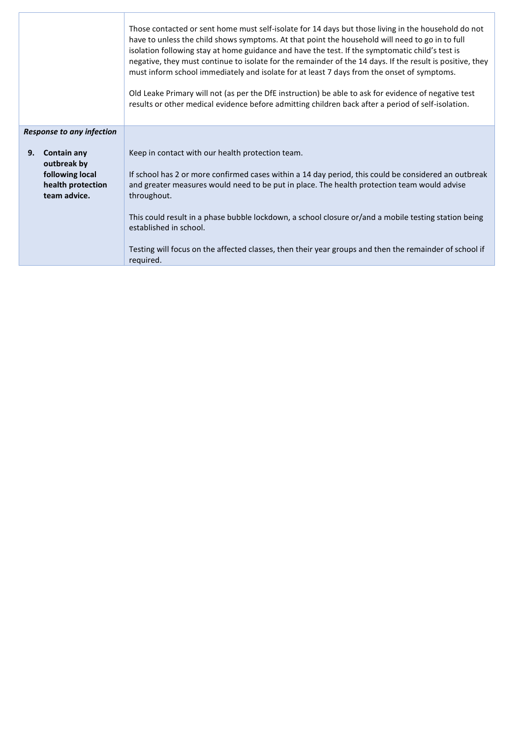|                                                                                          | Those contacted or sent home must self-isolate for 14 days but those living in the household do not<br>have to unless the child shows symptoms. At that point the household will need to go in to full<br>isolation following stay at home guidance and have the test. If the symptomatic child's test is<br>negative, they must continue to isolate for the remainder of the 14 days. If the result is positive, they<br>must inform school immediately and isolate for at least 7 days from the onset of symptoms.<br>Old Leake Primary will not (as per the DfE instruction) be able to ask for evidence of negative test<br>results or other medical evidence before admitting children back after a period of self-isolation. |
|------------------------------------------------------------------------------------------|------------------------------------------------------------------------------------------------------------------------------------------------------------------------------------------------------------------------------------------------------------------------------------------------------------------------------------------------------------------------------------------------------------------------------------------------------------------------------------------------------------------------------------------------------------------------------------------------------------------------------------------------------------------------------------------------------------------------------------|
| <b>Response to any infection</b>                                                         |                                                                                                                                                                                                                                                                                                                                                                                                                                                                                                                                                                                                                                                                                                                                    |
| 9.<br>Contain any<br>outbreak by<br>following local<br>health protection<br>team advice. | Keep in contact with our health protection team.<br>If school has 2 or more confirmed cases within a 14 day period, this could be considered an outbreak<br>and greater measures would need to be put in place. The health protection team would advise<br>throughout.<br>This could result in a phase bubble lockdown, a school closure or/and a mobile testing station being<br>established in school.                                                                                                                                                                                                                                                                                                                           |
|                                                                                          | Testing will focus on the affected classes, then their year groups and then the remainder of school if<br>required.                                                                                                                                                                                                                                                                                                                                                                                                                                                                                                                                                                                                                |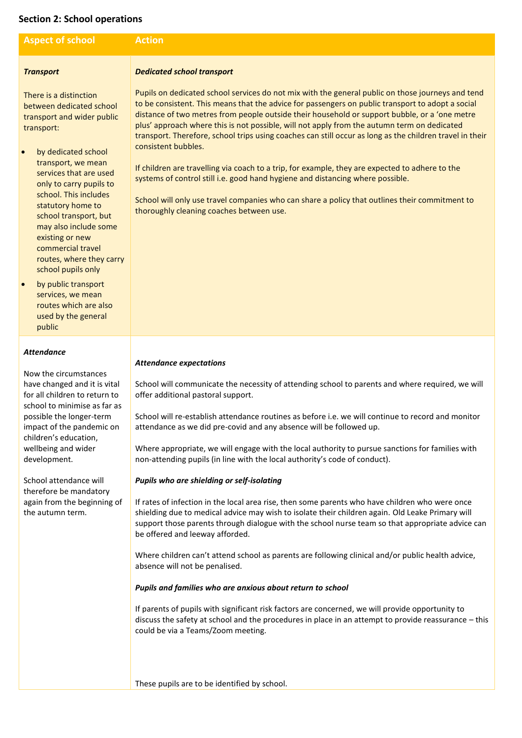### **Section 2: School operations**

| <b>Aspect of school</b><br><b>Action</b>                                                                                                                                                                                                                                                                                                                                                                                                                                                            |                                                                                                                                                                                                                                                                                                                                                                                                                                                                                                                                                                                                                                                                                                                                                                                                                                                                              |  |
|-----------------------------------------------------------------------------------------------------------------------------------------------------------------------------------------------------------------------------------------------------------------------------------------------------------------------------------------------------------------------------------------------------------------------------------------------------------------------------------------------------|------------------------------------------------------------------------------------------------------------------------------------------------------------------------------------------------------------------------------------------------------------------------------------------------------------------------------------------------------------------------------------------------------------------------------------------------------------------------------------------------------------------------------------------------------------------------------------------------------------------------------------------------------------------------------------------------------------------------------------------------------------------------------------------------------------------------------------------------------------------------------|--|
|                                                                                                                                                                                                                                                                                                                                                                                                                                                                                                     |                                                                                                                                                                                                                                                                                                                                                                                                                                                                                                                                                                                                                                                                                                                                                                                                                                                                              |  |
| <b>Transport</b>                                                                                                                                                                                                                                                                                                                                                                                                                                                                                    | <b>Dedicated school transport</b>                                                                                                                                                                                                                                                                                                                                                                                                                                                                                                                                                                                                                                                                                                                                                                                                                                            |  |
| There is a distinction<br>between dedicated school<br>transport and wider public<br>transport:<br>by dedicated school<br>$\bullet$<br>transport, we mean<br>services that are used<br>only to carry pupils to<br>school. This includes<br>statutory home to<br>school transport, but<br>may also include some<br>existing or new<br>commercial travel<br>routes, where they carry<br>school pupils only<br>by public transport<br>services, we mean<br>routes which are also<br>used by the general | Pupils on dedicated school services do not mix with the general public on those journeys and tend<br>to be consistent. This means that the advice for passengers on public transport to adopt a social<br>distance of two metres from people outside their household or support bubble, or a 'one metre<br>plus' approach where this is not possible, will not apply from the autumn term on dedicated<br>transport. Therefore, school trips using coaches can still occur as long as the children travel in their<br>consistent bubbles.<br>If children are travelling via coach to a trip, for example, they are expected to adhere to the<br>systems of control still i.e. good hand hygiene and distancing where possible.<br>School will only use travel companies who can share a policy that outlines their commitment to<br>thoroughly cleaning coaches between use. |  |
| public                                                                                                                                                                                                                                                                                                                                                                                                                                                                                              |                                                                                                                                                                                                                                                                                                                                                                                                                                                                                                                                                                                                                                                                                                                                                                                                                                                                              |  |
| <b>Attendance</b>                                                                                                                                                                                                                                                                                                                                                                                                                                                                                   | <b>Attendance expectations</b>                                                                                                                                                                                                                                                                                                                                                                                                                                                                                                                                                                                                                                                                                                                                                                                                                                               |  |
| Now the circumstances<br>have changed and it is vital<br>for all children to return to<br>school to minimise as far as<br>possible the longer-term                                                                                                                                                                                                                                                                                                                                                  | School will communicate the necessity of attending school to parents and where required, we will<br>offer additional pastoral support.<br>School will re-establish attendance routines as before i.e. we will continue to record and monitor                                                                                                                                                                                                                                                                                                                                                                                                                                                                                                                                                                                                                                 |  |
| impact of the pandemic on<br>children's education,                                                                                                                                                                                                                                                                                                                                                                                                                                                  | attendance as we did pre-covid and any absence will be followed up.                                                                                                                                                                                                                                                                                                                                                                                                                                                                                                                                                                                                                                                                                                                                                                                                          |  |
| wellbeing and wider<br>development.                                                                                                                                                                                                                                                                                                                                                                                                                                                                 | Where appropriate, we will engage with the local authority to pursue sanctions for families with<br>non-attending pupils (in line with the local authority's code of conduct).                                                                                                                                                                                                                                                                                                                                                                                                                                                                                                                                                                                                                                                                                               |  |
| School attendance will<br>therefore be mandatory                                                                                                                                                                                                                                                                                                                                                                                                                                                    | Pupils who are shielding or self-isolating                                                                                                                                                                                                                                                                                                                                                                                                                                                                                                                                                                                                                                                                                                                                                                                                                                   |  |
| again from the beginning of<br>the autumn term.                                                                                                                                                                                                                                                                                                                                                                                                                                                     | If rates of infection in the local area rise, then some parents who have children who were once<br>shielding due to medical advice may wish to isolate their children again. Old Leake Primary will<br>support those parents through dialogue with the school nurse team so that appropriate advice can<br>be offered and leeway afforded.                                                                                                                                                                                                                                                                                                                                                                                                                                                                                                                                   |  |
|                                                                                                                                                                                                                                                                                                                                                                                                                                                                                                     | Where children can't attend school as parents are following clinical and/or public health advice,<br>absence will not be penalised.                                                                                                                                                                                                                                                                                                                                                                                                                                                                                                                                                                                                                                                                                                                                          |  |
|                                                                                                                                                                                                                                                                                                                                                                                                                                                                                                     | Pupils and families who are anxious about return to school                                                                                                                                                                                                                                                                                                                                                                                                                                                                                                                                                                                                                                                                                                                                                                                                                   |  |
|                                                                                                                                                                                                                                                                                                                                                                                                                                                                                                     | If parents of pupils with significant risk factors are concerned, we will provide opportunity to<br>discuss the safety at school and the procedures in place in an attempt to provide reassurance - this<br>could be via a Teams/Zoom meeting.                                                                                                                                                                                                                                                                                                                                                                                                                                                                                                                                                                                                                               |  |
|                                                                                                                                                                                                                                                                                                                                                                                                                                                                                                     |                                                                                                                                                                                                                                                                                                                                                                                                                                                                                                                                                                                                                                                                                                                                                                                                                                                                              |  |
|                                                                                                                                                                                                                                                                                                                                                                                                                                                                                                     | These pupils are to be identified by school.                                                                                                                                                                                                                                                                                                                                                                                                                                                                                                                                                                                                                                                                                                                                                                                                                                 |  |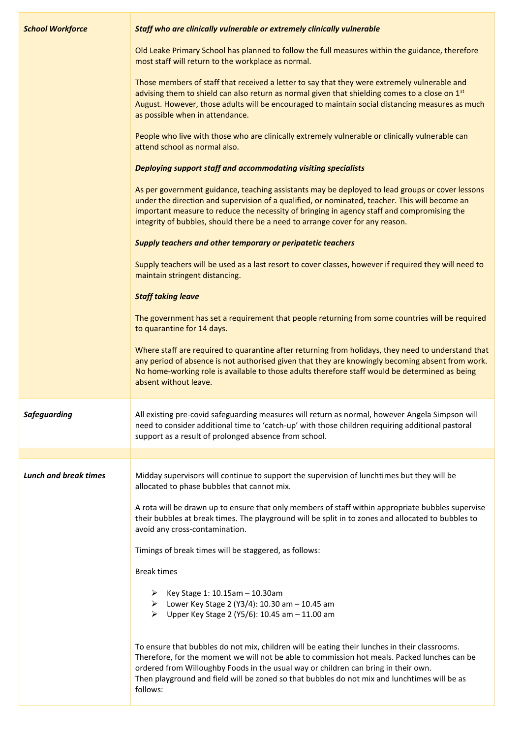| <b>School Workforce</b>      | Staff who are clinically vulnerable or extremely clinically vulnerable                                                                                                                                                                                                                                                                                                                          |
|------------------------------|-------------------------------------------------------------------------------------------------------------------------------------------------------------------------------------------------------------------------------------------------------------------------------------------------------------------------------------------------------------------------------------------------|
|                              | Old Leake Primary School has planned to follow the full measures within the guidance, therefore<br>most staff will return to the workplace as normal.                                                                                                                                                                                                                                           |
|                              | Those members of staff that received a letter to say that they were extremely vulnerable and<br>advising them to shield can also return as normal given that shielding comes to a close on 1st<br>August. However, those adults will be encouraged to maintain social distancing measures as much<br>as possible when in attendance.                                                            |
|                              | People who live with those who are clinically extremely vulnerable or clinically vulnerable can<br>attend school as normal also.                                                                                                                                                                                                                                                                |
|                              | Deploying support staff and accommodating visiting specialists                                                                                                                                                                                                                                                                                                                                  |
|                              | As per government guidance, teaching assistants may be deployed to lead groups or cover lessons<br>under the direction and supervision of a qualified, or nominated, teacher. This will become an<br>important measure to reduce the necessity of bringing in agency staff and compromising the<br>integrity of bubbles, should there be a need to arrange cover for any reason.                |
|                              | Supply teachers and other temporary or peripatetic teachers                                                                                                                                                                                                                                                                                                                                     |
|                              | Supply teachers will be used as a last resort to cover classes, however if required they will need to<br>maintain stringent distancing.                                                                                                                                                                                                                                                         |
|                              | <b>Staff taking leave</b>                                                                                                                                                                                                                                                                                                                                                                       |
|                              | The government has set a requirement that people returning from some countries will be required<br>to quarantine for 14 days.                                                                                                                                                                                                                                                                   |
|                              | Where staff are required to quarantine after returning from holidays, they need to understand that<br>any period of absence is not authorised given that they are knowingly becoming absent from work.<br>No home-working role is available to those adults therefore staff would be determined as being<br>absent without leave.                                                               |
| <b>Safeguarding</b>          | All existing pre-covid safeguarding measures will return as normal, however Angela Simpson will<br>need to consider additional time to 'catch-up' with those children requiring additional pastoral<br>support as a result of prolonged absence from school.                                                                                                                                    |
|                              |                                                                                                                                                                                                                                                                                                                                                                                                 |
| <b>Lunch and break times</b> | Midday supervisors will continue to support the supervision of lunchtimes but they will be<br>allocated to phase bubbles that cannot mix.                                                                                                                                                                                                                                                       |
|                              | A rota will be drawn up to ensure that only members of staff within appropriate bubbles supervise<br>their bubbles at break times. The playground will be split in to zones and allocated to bubbles to<br>avoid any cross-contamination.                                                                                                                                                       |
|                              | Timings of break times will be staggered, as follows:                                                                                                                                                                                                                                                                                                                                           |
|                              | <b>Break times</b>                                                                                                                                                                                                                                                                                                                                                                              |
|                              | Key Stage 1: 10.15am - 10.30am<br>➤<br>E Lower Key Stage 2 (Y3/4): 10.30 am $-$ 10.45 am<br>▶ Upper Key Stage 2 (Y5/6): 10.45 am - 11.00 am                                                                                                                                                                                                                                                     |
|                              | To ensure that bubbles do not mix, children will be eating their lunches in their classrooms.<br>Therefore, for the moment we will not be able to commission hot meals. Packed lunches can be<br>ordered from Willoughby Foods in the usual way or children can bring in their own.<br>Then playground and field will be zoned so that bubbles do not mix and lunchtimes will be as<br>follows: |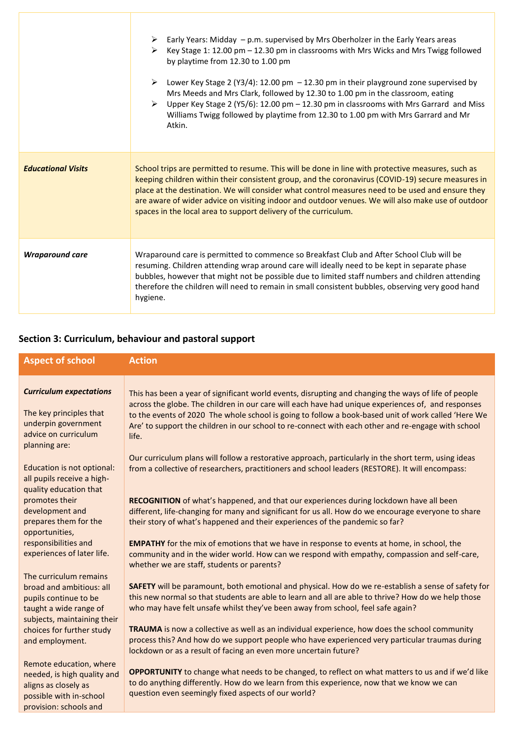|                           | $\triangleright$ Early Years: Midday $-$ p.m. supervised by Mrs Oberholzer in the Early Years areas<br>Key Stage 1: 12.00 pm - 12.30 pm in classrooms with Mrs Wicks and Mrs Twigg followed<br>by playtime from 12.30 to 1.00 pm<br>Lower Key Stage 2 (Y3/4): 12.00 pm $-12.30$ pm in their playground zone supervised by<br>➤<br>Mrs Meeds and Mrs Clark, followed by 12.30 to 1.00 pm in the classroom, eating<br>$\triangleright$ Upper Key Stage 2 (Y5/6): 12.00 pm - 12.30 pm in classrooms with Mrs Garrard and Miss<br>Williams Twigg followed by playtime from 12.30 to 1.00 pm with Mrs Garrard and Mr<br>Atkin. |
|---------------------------|---------------------------------------------------------------------------------------------------------------------------------------------------------------------------------------------------------------------------------------------------------------------------------------------------------------------------------------------------------------------------------------------------------------------------------------------------------------------------------------------------------------------------------------------------------------------------------------------------------------------------|
| <b>Educational Visits</b> | School trips are permitted to resume. This will be done in line with protective measures, such as<br>keeping children within their consistent group, and the coronavirus (COVID-19) secure measures in<br>place at the destination. We will consider what control measures need to be used and ensure they<br>are aware of wider advice on visiting indoor and outdoor venues. We will also make use of outdoor<br>spaces in the local area to support delivery of the curriculum.                                                                                                                                        |
| <b>Wraparound care</b>    | Wraparound care is permitted to commence so Breakfast Club and After School Club will be<br>resuming. Children attending wrap around care will ideally need to be kept in separate phase<br>bubbles, however that might not be possible due to limited staff numbers and children attending<br>therefore the children will need to remain in small consistent bubbles, observing very good hand<br>hygiene.                                                                                                                                                                                                               |

## **Section 3: Curriculum, behaviour and pastoral support**

| <b>Aspect of school</b>                                                                                                              | <b>Action</b>                                                                                                                                                                                                                                                                                                                                                                                                                    |
|--------------------------------------------------------------------------------------------------------------------------------------|----------------------------------------------------------------------------------------------------------------------------------------------------------------------------------------------------------------------------------------------------------------------------------------------------------------------------------------------------------------------------------------------------------------------------------|
| <b>Curriculum expectations</b><br>The key principles that<br>underpin government<br>advice on curriculum<br>planning are:            | This has been a year of significant world events, disrupting and changing the ways of life of people<br>across the globe. The children in our care will each have had unique experiences of, and responses<br>to the events of 2020 The whole school is going to follow a book-based unit of work called 'Here We<br>Are' to support the children in our school to re-connect with each other and re-engage with school<br>life. |
| Education is not optional:<br>all pupils receive a high-<br>quality education that                                                   | Our curriculum plans will follow a restorative approach, particularly in the short term, using ideas<br>from a collective of researchers, practitioners and school leaders (RESTORE). It will encompass:                                                                                                                                                                                                                         |
| promotes their<br>development and<br>prepares them for the<br>opportunities,                                                         | RECOGNITION of what's happened, and that our experiences during lockdown have all been<br>different, life-changing for many and significant for us all. How do we encourage everyone to share<br>their story of what's happened and their experiences of the pandemic so far?                                                                                                                                                    |
| responsibilities and<br>experiences of later life.                                                                                   | <b>EMPATHY</b> for the mix of emotions that we have in response to events at home, in school, the<br>community and in the wider world. How can we respond with empathy, compassion and self-care,<br>whether we are staff, students or parents?                                                                                                                                                                                  |
| The curriculum remains<br>broad and ambitious: all<br>pupils continue to be<br>taught a wide range of<br>subjects, maintaining their | SAFETY will be paramount, both emotional and physical. How do we re-establish a sense of safety for<br>this new normal so that students are able to learn and all are able to thrive? How do we help those<br>who may have felt unsafe whilst they've been away from school, feel safe again?                                                                                                                                    |
| choices for further study<br>and employment.                                                                                         | TRAUMA is now a collective as well as an individual experience, how does the school community<br>process this? And how do we support people who have experienced very particular traumas during<br>lockdown or as a result of facing an even more uncertain future?                                                                                                                                                              |
| Remote education, where<br>needed, is high quality and<br>aligns as closely as<br>possible with in-school<br>provision: schools and  | OPPORTUNITY to change what needs to be changed, to reflect on what matters to us and if we'd like<br>to do anything differently. How do we learn from this experience, now that we know we can<br>question even seemingly fixed aspects of our world?                                                                                                                                                                            |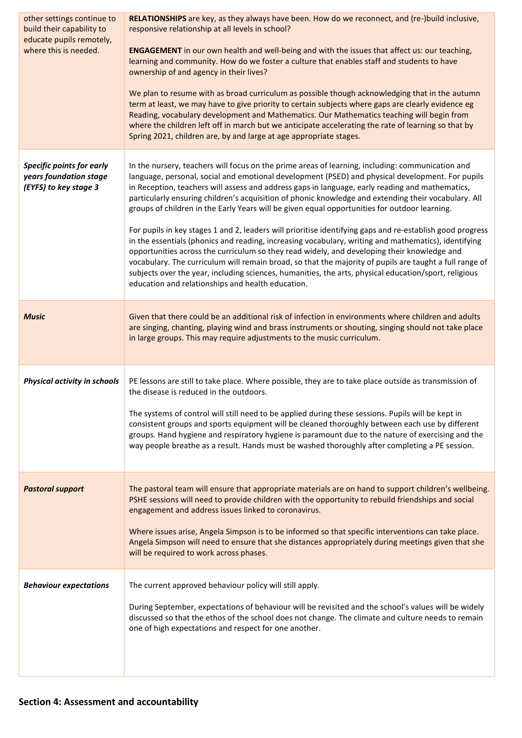| other settings continue to<br>build their capability to<br>educate pupils remotely,<br>where this is needed. | RELATIONSHIPS are key, as they always have been. How do we reconnect, and (re-)build inclusive,<br>responsive relationship at all levels in school?<br><b>ENGAGEMENT</b> in our own health and well-being and with the issues that affect us: our teaching,<br>learning and community. How do we foster a culture that enables staff and students to have<br>ownership of and agency in their lives?<br>We plan to resume with as broad curriculum as possible though acknowledging that in the autumn<br>term at least, we may have to give priority to certain subjects where gaps are clearly evidence eg<br>Reading, vocabulary development and Mathematics. Our Mathematics teaching will begin from<br>where the children left off in march but we anticipate accelerating the rate of learning so that by<br>Spring 2021, children are, by and large at age appropriate stages.                                                                                                                                                                                                                        |
|--------------------------------------------------------------------------------------------------------------|---------------------------------------------------------------------------------------------------------------------------------------------------------------------------------------------------------------------------------------------------------------------------------------------------------------------------------------------------------------------------------------------------------------------------------------------------------------------------------------------------------------------------------------------------------------------------------------------------------------------------------------------------------------------------------------------------------------------------------------------------------------------------------------------------------------------------------------------------------------------------------------------------------------------------------------------------------------------------------------------------------------------------------------------------------------------------------------------------------------|
| Specific points for early<br>years foundation stage<br>(EYFS) to key stage 3                                 | In the nursery, teachers will focus on the prime areas of learning, including: communication and<br>language, personal, social and emotional development (PSED) and physical development. For pupils<br>in Reception, teachers will assess and address gaps in language, early reading and mathematics,<br>particularly ensuring children's acquisition of phonic knowledge and extending their vocabulary. All<br>groups of children in the Early Years will be given equal opportunities for outdoor learning.<br>For pupils in key stages 1 and 2, leaders will prioritise identifying gaps and re-establish good progress<br>in the essentials (phonics and reading, increasing vocabulary, writing and mathematics), identifying<br>opportunities across the curriculum so they read widely, and developing their knowledge and<br>vocabulary. The curriculum will remain broad, so that the majority of pupils are taught a full range of<br>subjects over the year, including sciences, humanities, the arts, physical education/sport, religious<br>education and relationships and health education. |
| <b>Music</b>                                                                                                 | Given that there could be an additional risk of infection in environments where children and adults<br>are singing, chanting, playing wind and brass instruments or shouting, singing should not take place<br>in large groups. This may require adjustments to the music curriculum.                                                                                                                                                                                                                                                                                                                                                                                                                                                                                                                                                                                                                                                                                                                                                                                                                         |
| Physical activity in schools                                                                                 | PE lessons are still to take place. Where possible, they are to take place outside as transmission of<br>the disease is reduced in the outdoors.<br>The systems of control will still need to be applied during these sessions. Pupils will be kept in<br>consistent groups and sports equipment will be cleaned thoroughly between each use by different<br>groups. Hand hygiene and respiratory hygiene is paramount due to the nature of exercising and the<br>way people breathe as a result. Hands must be washed thoroughly after completing a PE session.                                                                                                                                                                                                                                                                                                                                                                                                                                                                                                                                              |
| <b>Pastoral support</b>                                                                                      | The pastoral team will ensure that appropriate materials are on hand to support children's wellbeing.<br>PSHE sessions will need to provide children with the opportunity to rebuild friendships and social<br>engagement and address issues linked to coronavirus.<br>Where issues arise, Angela Simpson is to be informed so that specific interventions can take place.<br>Angela Simpson will need to ensure that she distances appropriately during meetings given that she<br>will be required to work across phases.                                                                                                                                                                                                                                                                                                                                                                                                                                                                                                                                                                                   |
| <b>Behaviour expectations</b>                                                                                | The current approved behaviour policy will still apply.<br>During September, expectations of behaviour will be revisited and the school's values will be widely<br>discussed so that the ethos of the school does not change. The climate and culture needs to remain<br>one of high expectations and respect for one another.                                                                                                                                                                                                                                                                                                                                                                                                                                                                                                                                                                                                                                                                                                                                                                                |